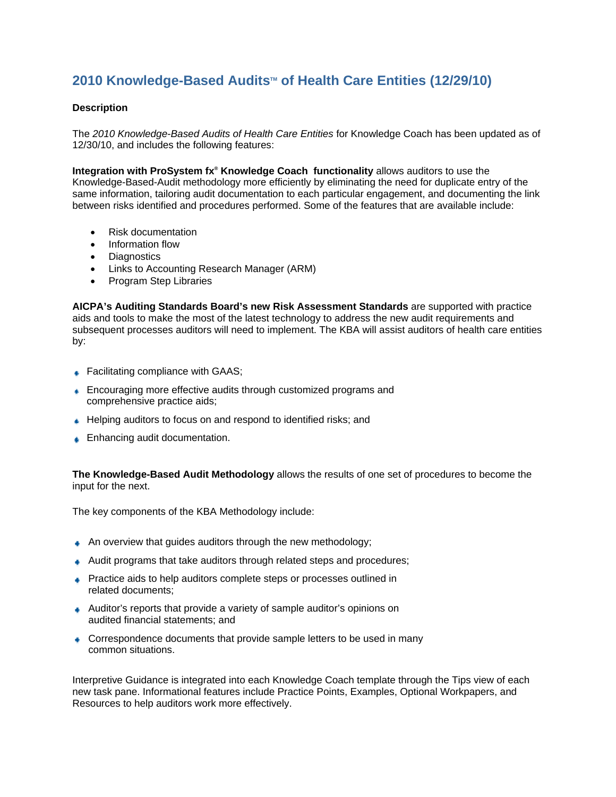## **2010 Knowledge-Based Audits<sup>™</sup> of Health Care Entities (12/29/10)**

## **Description**

The *2010 Knowledge-Based Audits of Health Care Entities* for Knowledge Coach has been updated as of 12/30/10, and includes the following features:

**Integration with ProSystem fx<sup>®</sup> Knowledge Coach functionality allows auditors to use the** Knowledge-Based-Audit methodology more efficiently by eliminating the need for duplicate entry of the same information, tailoring audit documentation to each particular engagement, and documenting the link between risks identified and procedures performed. Some of the features that are available include:

- Risk documentation
- Information flow
- Diagnostics
- Links to Accounting Research Manager (ARM)
- Program Step Libraries

**AICPA's Auditing Standards Board's new Risk Assessment Standards** are supported with practice aids and tools to make the most of the latest technology to address the new audit requirements and subsequent processes auditors will need to implement. The KBA will assist auditors of health care entities by:

- **■** Facilitating compliance with GAAS;
- **Encouraging more effective audits through customized programs and** comprehensive practice aids;
- Helping auditors to focus on and respond to identified risks; and
- **■** Enhancing audit documentation.

**The Knowledge-Based Audit Methodology** allows the results of one set of procedures to become the input for the next.

The key components of the KBA Methodology include:

- An overview that guides auditors through the new methodology;
- Audit programs that take auditors through related steps and procedures;
- **Practice aids to help auditors complete steps or processes outlined in** related documents;
- Auditor's reports that provide a variety of sample auditor's opinions on audited financial statements; and
- Correspondence documents that provide sample letters to be used in many common situations.

Interpretive Guidance is integrated into each Knowledge Coach template through the Tips view of each new task pane. Informational features include Practice Points, Examples, Optional Workpapers, and Resources to help auditors work more effectively.